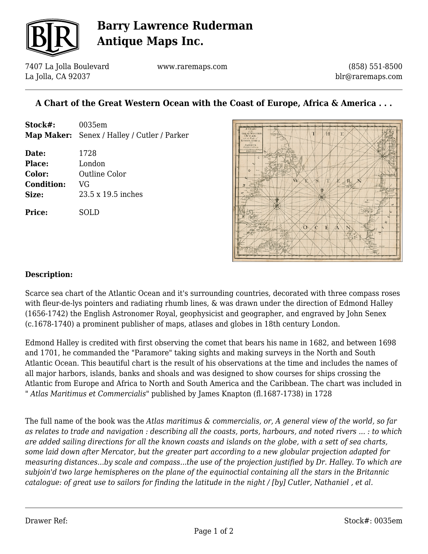

## **Barry Lawrence Ruderman Antique Maps Inc.**

7407 La Jolla Boulevard La Jolla, CA 92037

www.raremaps.com

(858) 551-8500 blr@raremaps.com

## **A Chart of the Great Western Ocean with the Coast of Europe, Africa & America . . .**

**Stock#:** 0035em **Map Maker:** Senex / Halley / Cutler / Parker **Date:** 1728 **Place:** London **Color:** Outline Color **Condition:** VG **Size:** 23.5 x 19.5 inches **Price:** SOLD



## **Description:**

Scarce sea chart of the Atlantic Ocean and it's surrounding countries, decorated with three compass roses with fleur-de-lys pointers and radiating rhumb lines, & was drawn under the direction of Edmond Halley (1656-1742) the English Astronomer Royal, geophysicist and geographer, and engraved by John Senex (c.1678-1740) a prominent publisher of maps, atlases and globes in 18th century London.

Edmond Halley is credited with first observing the comet that bears his name in 1682, and between 1698 and 1701, he commanded the "Paramore" taking sights and making surveys in the North and South Atlantic Ocean. This beautiful chart is the result of his observations at the time and includes the names of all major harbors, islands, banks and shoals and was designed to show courses for ships crossing the Atlantic from Europe and Africa to North and South America and the Caribbean. The chart was included in " *Atlas Maritimus et Commercialis*" published by James Knapton (fl.1687-1738) in 1728

The full name of the book was the *Atlas maritimus & commercialis, or, A general view of the world, so far as relates to trade and navigation : describing all the coasts, ports, harbours, and noted rivers ... : to which are added sailing directions for all the known coasts and islands on the globe, with a sett of sea charts, some laid down after Mercator, but the greater part according to a new globular projection adapted for measuring distances...by scale and compass...the use of the projection justified by Dr. Halley. To which are subjoin'd two large hemispheres on the plane of the equinoctial containing all the stars in the Britannic catalogue: of great use to sailors for finding the latitude in the night / [by] Cutler, Nathaniel , et al.*